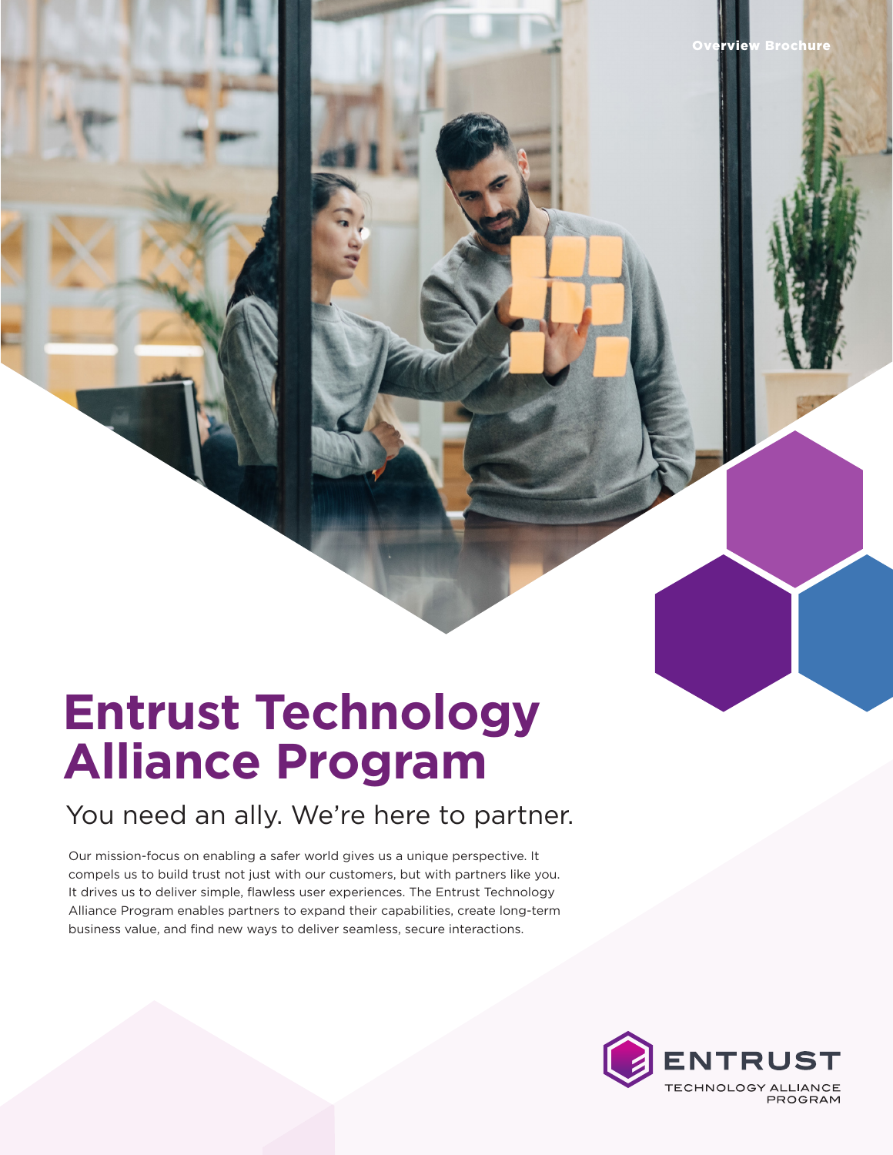# **Entrust Technology Alliance Program**

## You need an ally. We're here to partner.

Our mission-focus on enabling a safer world gives us a unique perspective. It compels us to build trust not just with our customers, but with partners like you. It drives us to deliver simple, flawless user experiences. The Entrust Technology Alliance Program enables partners to expand their capabilities, create long-term business value, and find new ways to deliver seamless, secure interactions.



**rview Brochure**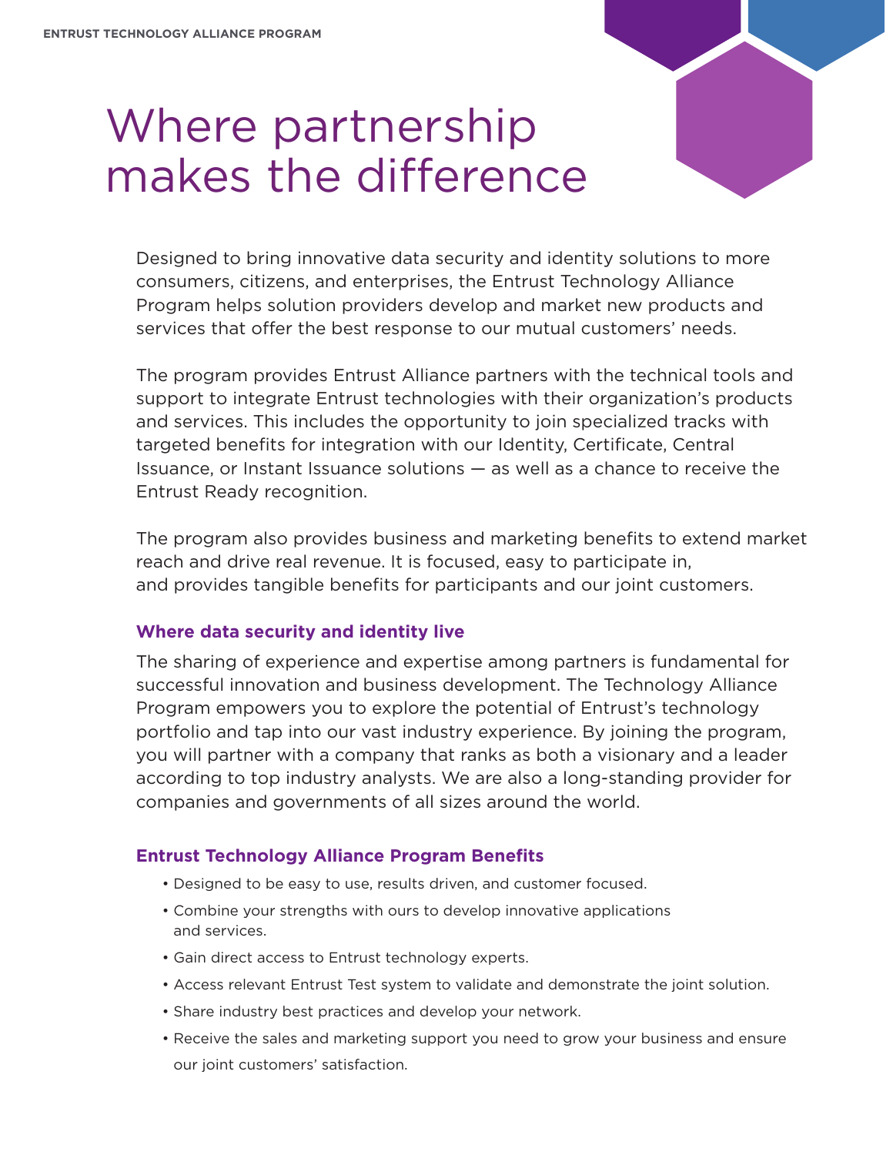# Where partnership makes the difference



The program provides Entrust Alliance partners with the technical tools and support to integrate Entrust technologies with their organization's products and services. This includes the opportunity to join specialized tracks with targeted benefits for integration with our Identity, Certificate, Central Issuance, or Instant Issuance solutions — as well as a chance to receive the Entrust Ready recognition.

The program also provides business and marketing benefits to extend market reach and drive real revenue. It is focused, easy to participate in, and provides tangible benefits for participants and our joint customers.

### **Where data security and identity live**

The sharing of experience and expertise among partners is fundamental for successful innovation and business development. The Technology Alliance Program empowers you to explore the potential of Entrust's technology portfolio and tap into our vast industry experience. By joining the program, you will partner with a company that ranks as both a visionary and a leader according to top industry analysts. We are also a long-standing provider for companies and governments of all sizes around the world.

### **Entrust Technology Alliance Program Benefits**

- Designed to be easy to use, results driven, and customer focused.
- Combine your strengths with ours to develop innovative applications and services.
- Gain direct access to Entrust technology experts.
- Access relevant Entrust Test system to validate and demonstrate the joint solution.
- Share industry best practices and develop your network.
- Receive the sales and marketing support you need to grow your business and ensure our joint customers' satisfaction.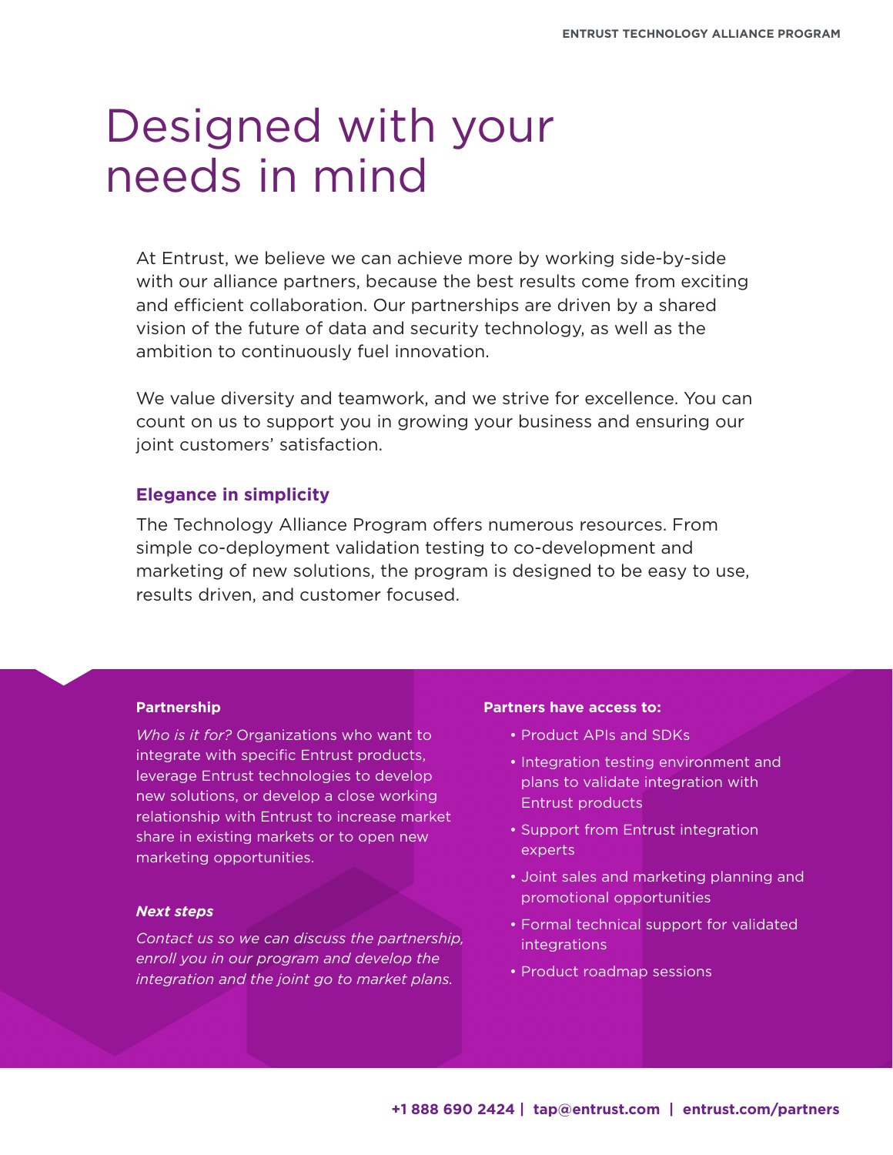# Designed with your needs in mind

At Entrust, we believe we can achieve more by working side-by-side with our alliance partners, because the best results come from exciting and efficient collaboration. Our partnerships are driven by a shared vision of the future of data and security technology, as well as the ambition to continuously fuel innovation.

We value diversity and teamwork, and we strive for excellence. You can count on us to support you in growing your business and ensuring our joint customers' satisfaction.

#### **Elegance in simplicity**

The Technology Alliance Program offers numerous resources. From simple co-deployment validation testing to co-development and marketing of new solutions, the program is designed to be easy to use, results driven, and customer focused.

#### **Partnership**

*Who is it for?* Organizations who want to integrate with specific Entrust products, leverage Entrust technologies to develop new solutions, or develop a close working relationship with Entrust to increase market share in existing markets or to open new marketing opportunities.

#### *Next steps*

*Contact us so we can discuss the partnership, enroll you in our program and develop the integration and the joint go to market plans.*

#### **Partners have access to:**

- Product APIs and SDKs
- Integration testing environment and plans to validate integration with Entrust products
- Support from Entrust integration experts
- Joint sales and marketing planning and promotional opportunities
- Formal technical support for validated integrations
- Product roadmap sessions